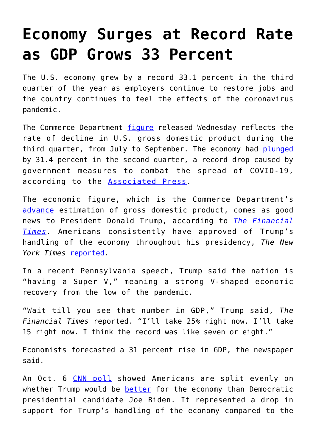## **[Economy Surges at Record Rate](https://intellectualtakeout.org/2020/10/economy-surges-at-record-rate-as-gdp-grows-33-percent/) [as GDP Grows 33 Percent](https://intellectualtakeout.org/2020/10/economy-surges-at-record-rate-as-gdp-grows-33-percent/)**

The U.S. economy grew by a record 33.1 percent in the third quarter of the year as employers continue to restore jobs and the country continues to feel the effects of the coronavirus pandemic.

The Commerce Department [figure](https://www.bea.gov/news/2020/gross-domestic-product-third-quarter-2020-advance-estimate) released Wednesday reflects the rate of decline in U.S. gross domestic product during the third quarter, from July to September. The economy had [plunged](https://dailycaller.com/2020/09/30/united-states-economy-plunges-record-rate-rebound-likely-third-quarter/) by 31.4 percent in the second quarter, a record drop caused by government measures to combat the spread of COVID-19, according to the [Associated Press.](https://apnews.com/article/dwight-eisenhower-gross-domestic-product-archive-economy-42b79397f8f796ce61486a98346142bd)

The economic figure, which is the Commerce Department's [advance](https://www.bea.gov/system/files/2020-08/quick-guide-gdp.pdf) estimation of gross domestic product, comes as good news to President Donald Trump, according to *[The Financial](https://www.ft.com/content/a81e148a-4300-4479-9220-fd6cfd853660) [Times](https://www.ft.com/content/a81e148a-4300-4479-9220-fd6cfd853660)*. Americans consistently have approved of Trump's handling of the economy throughout his presidency, *The New York Times* [reported.](https://www.nytimes.com/2020/08/24/us/politics/trump-economy.html)

In a recent Pennsylvania speech, Trump said the nation is "having a Super V," meaning a strong V-shaped economic recovery from the low of the pandemic.

"Wait till you see that number in GDP," Trump said, *The Financial Times* reported. "I'll take 25% right now. I'll take 15 right now. I think the record was like seven or eight."

Economists forecasted a 31 percent rise in GDP, the newspaper said.

An Oct. 6 [CNN poll](https://www.cnn.com/2020/10/06/economy/2020-poll-trump-biden-economy/index.html) showed Americans are split evenly on whether Trump would be [better](https://www.dailysignal.com/2020/10/02/reforming-regulation-to-spur-economic-growth-regulatory-reform/) for the economy than Democratic presidential candidate Joe Biden. It represented a drop in support for Trump's handling of the economy compared to the